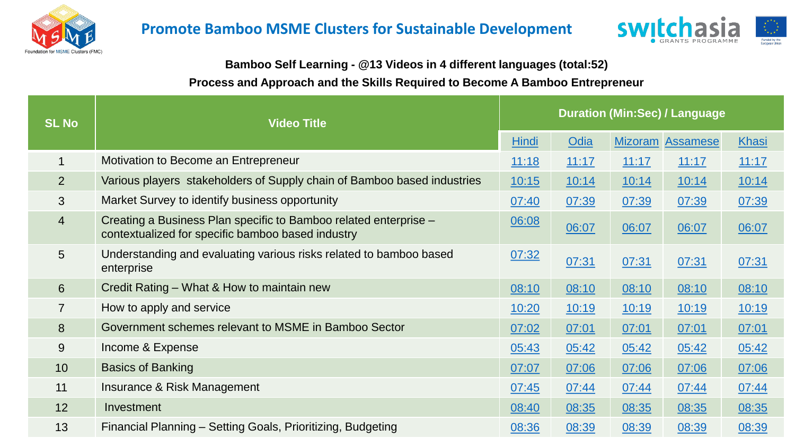



## **Bamboo Self Learning - @13 Videos in 4 different languages (total:52)**

## **Process and Approach and the Skills Required to Become A Bamboo Entrepreneur**

| <b>SL No</b>     | <b>Video Title</b>                                                                                                    | <b>Duration (Min:Sec) / Language</b> |       |       |                         |              |
|------------------|-----------------------------------------------------------------------------------------------------------------------|--------------------------------------|-------|-------|-------------------------|--------------|
|                  |                                                                                                                       | Hindi                                | Odia  |       | <b>Mizoram Assamese</b> | <b>Khasi</b> |
| $\overline{1}$   | Motivation to Become an Entrepreneur                                                                                  | 11:18                                | 11:17 | 11:17 | 11:17                   | 11:17        |
| 2                | Various players stakeholders of Supply chain of Bamboo based industries                                               | 10:15                                | 10:14 | 10:14 | 10:14                   | 10:14        |
| 3                | Market Survey to identify business opportunity                                                                        | 07:40                                | 07:39 | 07:39 | 07:39                   | 07:39        |
| $\overline{4}$   | Creating a Business Plan specific to Bamboo related enterprise -<br>contextualized for specific bamboo based industry | 06:08                                | 06:07 | 06:07 | 06:07                   | 06:07        |
| 5                | Understanding and evaluating various risks related to bamboo based<br>enterprise                                      | 07:32                                | 07:31 | 07:31 | 07:31                   | 07:31        |
| $6 \overline{6}$ | Credit Rating – What & How to maintain new                                                                            | 08:10                                | 08:10 | 08:10 | 08:10                   | 08:10        |
| $\overline{7}$   | How to apply and service                                                                                              | 10:20                                | 10:19 | 10:19 | 10:19                   | 10:19        |
| 8                | Government schemes relevant to MSME in Bamboo Sector                                                                  | 07:02                                | 07:01 | 07:01 | 07:01                   | 07:01        |
| 9                | Income & Expense                                                                                                      | 05:43                                | 05:42 | 05:42 | 05:42                   | 05:42        |
| 10               | <b>Basics of Banking</b>                                                                                              | 07:07                                | 07:06 | 07:06 | 07:06                   | 07:06        |
| 11               | Insurance & Risk Management                                                                                           | 07:45                                | 07:44 | 07:44 | 07:44                   | 07:44        |
| 12               | Investment                                                                                                            | 08:40                                | 08:35 | 08:35 | 08:35                   | 08:35        |
| 13               | Financial Planning - Setting Goals, Prioritizing, Budgeting                                                           | 08:36                                | 08:39 | 08:39 | 08:39                   | 08:39        |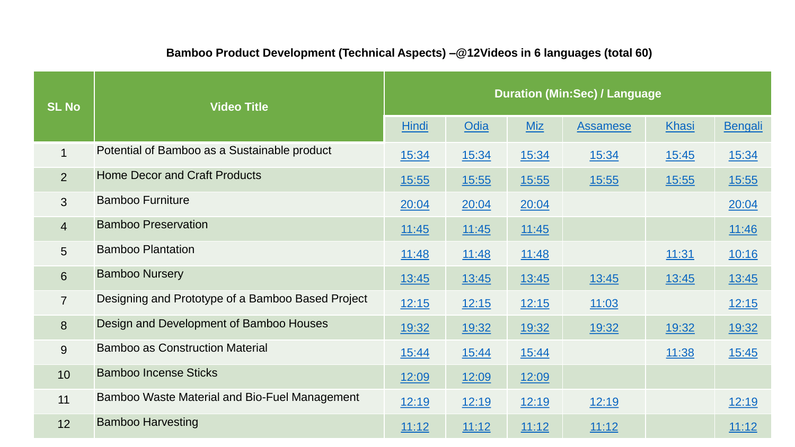## **Bamboo Product Development (Technical Aspects) –@12Videos in 6 languages (total 60)**

| <b>SL No</b>   | <b>Video Title</b>                                   | <b>Duration (Min:Sec) / Language</b> |       |            |                 |              |                |
|----------------|------------------------------------------------------|--------------------------------------|-------|------------|-----------------|--------------|----------------|
|                |                                                      | <b>Hindi</b>                         | Odia  | <b>Miz</b> | <b>Assamese</b> | Khasi        | <b>Bengali</b> |
| 1              | Potential of Bamboo as a Sustainable product         | 15:34                                | 15:34 | 15:34      | 15:34           | 15:45        | 15:34          |
| $\overline{2}$ | <b>Home Decor and Craft Products</b>                 | <u>15:55</u>                         | 15:55 | 15:55      | <u>15:55</u>    | <u>15:55</u> | <u>15:55</u>   |
| $\mathbf{3}$   | <b>Bamboo Furniture</b>                              | 20:04                                | 20:04 | 20:04      |                 |              | 20:04          |
| $\overline{4}$ | <b>Bamboo Preservation</b>                           | 11:45                                | 11:45 | 11:45      |                 |              | 11:46          |
| 5              | <b>Bamboo Plantation</b>                             | 11:48                                | 11:48 | 11:48      |                 | 11:31        | 10:16          |
| 6              | <b>Bamboo Nursery</b>                                | <u>13:45</u>                         | 13:45 | 13:45      | 13:45           | 13:45        | <u>13:45</u>   |
| $\overline{7}$ | Designing and Prototype of a Bamboo Based Project    | 12:15                                | 12:15 | 12:15      | 11:03           |              | <u>12:15</u>   |
| 8              | Design and Development of Bamboo Houses              | 19:32                                | 19:32 | 19:32      | 19:32           | 19:32        | 19:32          |
| 9              | <b>Bamboo as Construction Material</b>               | 15:44                                | 15:44 | 15:44      |                 | 11:38        | 15:45          |
| 10             | <b>Bamboo Incense Sticks</b>                         | 12:09                                | 12:09 | 12:09      |                 |              |                |
| 11             | <b>Bamboo Waste Material and Bio-Fuel Management</b> | 12:19                                | 12:19 | 12:19      | 12:19           |              | 12:19          |
| 12             | <b>Bamboo Harvesting</b>                             | 11:12                                | 11:12 | 11:12      | 11:12           |              | 11:12          |